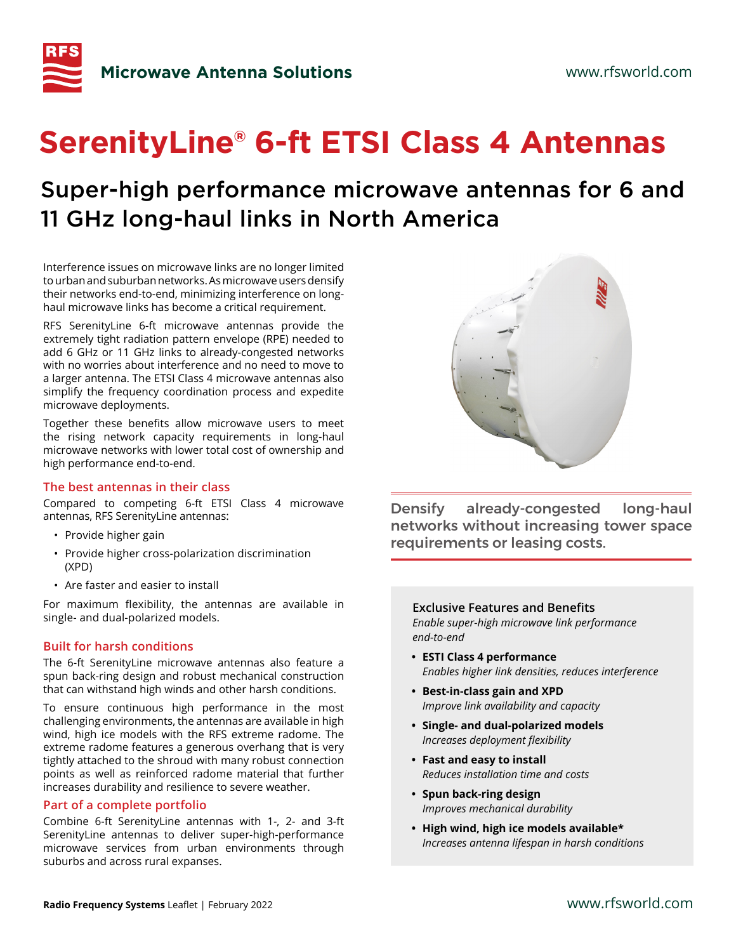

# **SerenityLine® 6-ft ETSI Class 4 Antennas**

# Super-high performance microwave antennas for 6 and 11 GHz long-haul links in North America

Interference issues on microwave links are no longer limited to urban and suburban networks. As microwave users densify their networks end-to-end, minimizing interference on longhaul microwave links has become a critical requirement.

RFS SerenityLine 6-ft microwave antennas provide the extremely tight radiation pattern envelope (RPE) needed to add 6 GHz or 11 GHz links to already-congested networks with no worries about interference and no need to move to a larger antenna. The ETSI Class 4 microwave antennas also simplify the frequency coordination process and expedite microwave deployments.

Together these benefits allow microwave users to meet the rising network capacity requirements in long-haul microwave networks with lower total cost of ownership and high performance end-to-end.

### **The best antennas in their class**

Compared to competing 6-ft ETSI Class 4 microwave antennas, RFS SerenityLine antennas:

- Provide higher gain
- Provide higher cross-polarization discrimination (XPD)
- Are faster and easier to install

For maximum flexibility, the antennas are available in single- and dual-polarized models.

### **Built for harsh conditions**

The 6-ft SerenityLine microwave antennas also feature a spun back-ring design and robust mechanical construction that can withstand high winds and other harsh conditions.

To ensure continuous high performance in the most challenging environments, the antennas are available in high wind, high ice models with the RFS extreme radome. The extreme radome features a generous overhang that is very tightly attached to the shroud with many robust connection points as well as reinforced radome material that further increases durability and resilience to severe weather.

#### **Part of a complete portfolio**

Combine 6-ft SerenityLine antennas with 1-, 2- and 3-ft SerenityLine antennas to deliver super-high-performance microwave services from urban environments through suburbs and across rural expanses.



Densify already-congested long-haul networks without increasing tower space requirements or leasing costs.

#### **Exclusive Features and Benefits** *Enable super-high microwave link performance end-to-end*

- **• ESTI Class 4 performance** *Enables higher link densities, reduces interference*
- **• Best-in-class gain and XPD** *Improve link availability and capacity*
- **• Single- and dual-polarized models** *Increases deployment flexibility*
- **• Fast and easy to install** *Reduces installation time and costs*
- **• Spun back-ring design**  *Improves mechanical durability*
- **• High wind, high ice models available\*** *Increases antenna lifespan in harsh conditions*